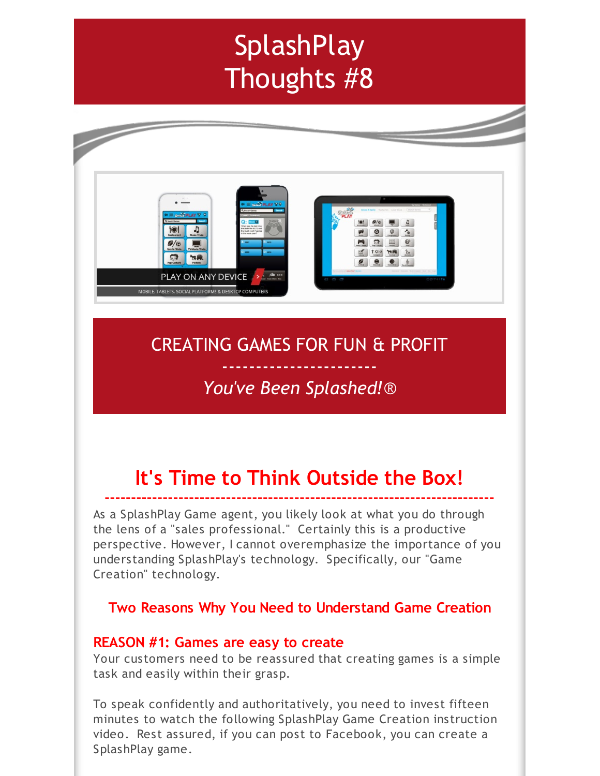# **SplashPlay** Thoughts #8



# CREATING GAMES FOR FUN & PROFIT

# ----------------------- *You've Been Splashed!*®

# **It's Time to Think Outside the Box!**

**--------------------------------------------------------------------------** As a SplashPlay Game agent, you likely look at what you do through the lens of a "sales professional." Certainly this is a productive perspective. However, I cannot overemphasize the importance of you understanding SplashPlay's technology. Specifically, our "Game Creation" technology.

## **Two Reasons Why You Need to Understand Game Creation**

### **REASON #1: Games are easy to create**

Your customers need to be reassured that creating games is a simple task and easily within their grasp.

To speak confidently and authoritatively, you need to invest fifteen minutes to watch the following SplashPlay Game Creation instruction video. Rest assured, if you can post to Facebook, you can create a SplashPlay game.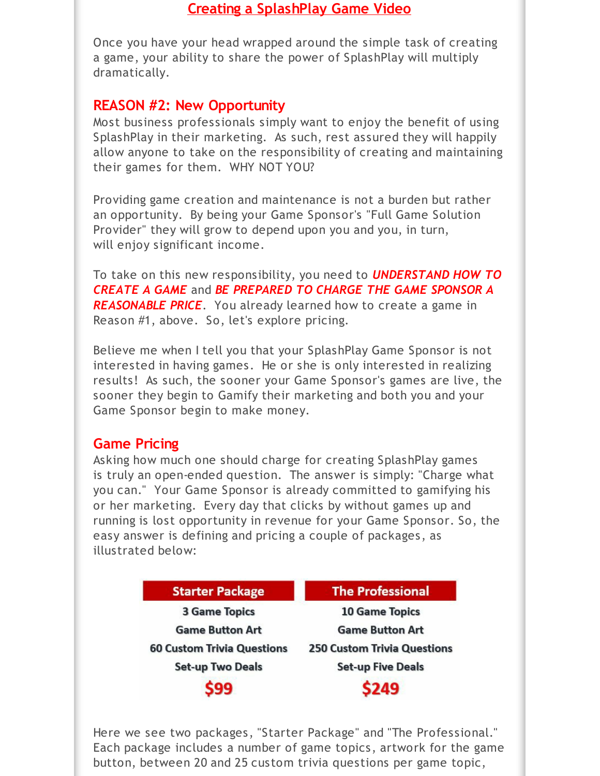### **Creating a [SplashPlay](http://r20.rs6.net/tn.jsp?f=001Q1eS5q-Qoi_cZautMtXpHE9e0zFGVOM_WkBBbMPZzcF5WmP6x59_s5--BOUKoAW8ePjS-2mRBJCN0u0FykNFfg3-OHL7HbRF6Avm-0IzFeMDFKjj-gZWdhm92bB5aJVlkC63N2aL35Pwy8fpgkNY1ryeUXz9byCU4EyiSI0JgpJMWT3J7iEBbA==&c=&ch=) Game Video**

Once you have your head wrapped around the simple task of creating a game, your ability to share the power of SplashPlay will multiply dramatically.

### **REASON #2: New Opportunity**

Most business professionals simply want to enjoy the benefit of using SplashPlay in their marketing. As such, rest assured they will happily allow anyone to take on the responsibility of creating and maintaining their games for them. WHY NOT YOU?

Providing game creation and maintenance is not a burden but rather an opportunity. By being your Game Sponsor's "Full Game Solution Provider" they will grow to depend upon you and you, in turn, will enjoy significant income.

To take on this new responsibility, you need to *UNDERSTAND HOW TO CREATE A GAME* and *BE PREPARED TO CHARGE THE GAME SPONSOR A REASONABLE PRICE*. You already learned how to create a game in Reason #1, above. So, let's explore pricing.

Believe me when I tell you that your SplashPlay Game Sponsor is not interested in having games. He or she is only interested in realizing results! As such, the sooner your Game Sponsor's games are live, the sooner they begin to Gamify their marketing and both you and your Game Sponsor begin to make money.

### **Game Pricing**

Asking how much one should charge for creating SplashPlay games is truly an open-ended question. The answer is simply: "Charge what you can." Your Game Sponsor is already committed to gamifying his or her marketing. Every day that clicks by without games up and running is lost opportunity in revenue for your Game Sponsor. So, the easy answer is defining and pricing a couple of packages, as illustrated below:

| <b>Starter Package</b>            | <b>The Professional</b>            |
|-----------------------------------|------------------------------------|
| <b>3 Game Topics</b>              | <b>10 Game Topics</b>              |
| <b>Game Button Art</b>            | <b>Game Button Art</b>             |
| <b>60 Custom Trivia Questions</b> | <b>250 Custom Trivia Questions</b> |
| <b>Set-up Two Deals</b>           | <b>Set-up Five Deals</b>           |
| 599                               | \$249                              |

Here we see two packages, "Starter Package" and "The Professional." Each package includes a number of game topics, artwork for the game button, between 20 and 25 custom trivia questions per game topic,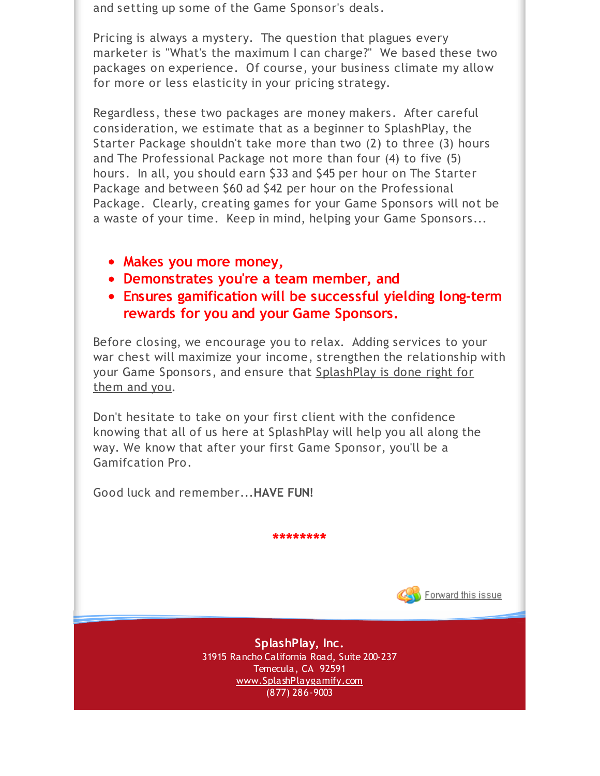and setting up some of the Game Sponsor's deals.

Pricing is always a mystery. The question that plagues every marketer is "What's the maximum I can charge?" We based these two packages on experience. Of course, your business climate my allow for more or less elasticity in your pricing strategy.

Regardless, these two packages are money makers. After careful consideration, we estimate that as a beginner to SplashPlay, the Starter Package shouldn't take more than two (2) to three (3) hours and The Professional Package not more than four (4) to five (5) hours. In all, you should earn \$33 and \$45 per hour on The Starter Package and between \$60 ad \$42 per hour on the Professional Package. Clearly, creating games for your Game Sponsors will not be a waste of your time. Keep in mind, helping your Game Sponsors...

- **Makes you more money,**
- **Demonstrates you're a team member, and**
- **Ensures gamification will be successful yielding long-term rewards for you and your Game Sponsors.**

Before closing, we encourage you to relax. Adding services to your war chest will maximize your income, strengthen the relationship with your Game Sponsors, and ensure that SplashPlay is done right for them and you.

Don't hesitate to take on your first client with the confidence knowing that all of us here at SplashPlay will help you all along the way. We know that after your first Game Sponsor, you'll be a Gamifcation Pro.

Good luck and remember...**HAVE FUN!**

Forward this issue

**SplashPlay, Inc.** 31915 Rancho California Road, Suite 200-237 Temecula, CA 92591 [www.SplashPlaygamify.com](http://r20.rs6.net/tn.jsp?f=001Q1eS5q-Qoi_cZautMtXpHE9e0zFGVOM_WkBBbMPZzcF5WmP6x59_s5FRhGaRTADRQH1wyjiRF3AGmf7aYgUKtB6EaoYIXN1StiYRzo0PPnfAQWSpRVdPJCYEtY_UeZBl_sWIGv-UD5PSCO-UH7G4iMNiftailXEkIxxJJuJy7Lg=&c=&ch=) (877) 286-9003

**\*\*\*\*\*\*\*\***